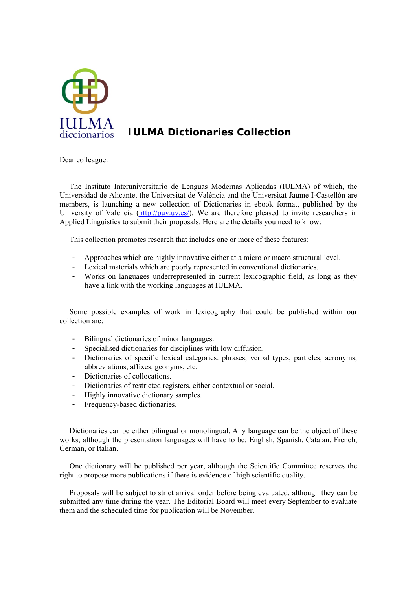

## **IULMA Dictionaries Collection**

Dear colleague:

The Instituto Interuniversitario de Lenguas Modernas Aplicadas (IULMA) of which, the Universidad de Alicante, the Universitat de València and the Universitat Jaume I-Castellón are members, is launching a new collection of Dictionaries in ebook format, published by the University of Valencia (http://puv.uv.es/). We are therefore pleased to invite researchers in Applied Linguistics to submit their proposals. Here are the details you need to know:

This collection promotes research that includes one or more of these features:

- Approaches which are highly innovative either at a micro or macro structural level.
- Lexical materials which are poorly represented in conventional dictionaries.
- Works on languages underrepresented in current lexicographic field, as long as they have a link with the working languages at IULMA.

Some possible examples of work in lexicography that could be published within our collection are:

- Bilingual dictionaries of minor languages.
- Specialised dictionaries for disciplines with low diffusion.
- Dictionaries of specific lexical categories: phrases, verbal types, particles, acronyms, abbreviations, affixes, geonyms, etc.
- Dictionaries of collocations.
- Dictionaries of restricted registers, either contextual or social.
- Highly innovative dictionary samples.
- Frequency-based dictionaries.

Dictionaries can be either bilingual or monolingual. Any language can be the object of these works, although the presentation languages will have to be: English, Spanish, Catalan, French, German, or Italian.

One dictionary will be published per year, although the Scientific Committee reserves the right to propose more publications if there is evidence of high scientific quality.

Proposals will be subject to strict arrival order before being evaluated, although they can be submitted any time during the year. The Editorial Board will meet every September to evaluate them and the scheduled time for publication will be November.